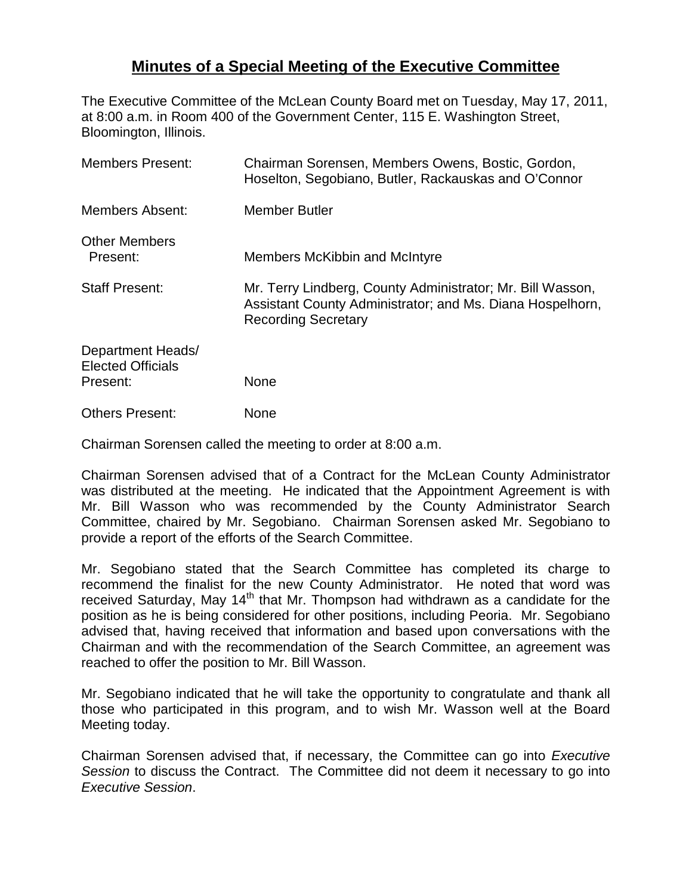## **Minutes of a Special Meeting of the Executive Committee**

The Executive Committee of the McLean County Board met on Tuesday, May 17, 2011, at 8:00 a.m. in Room 400 of the Government Center, 115 E. Washington Street, Bloomington, Illinois.

| <b>Members Present:</b>                                   | Chairman Sorensen, Members Owens, Bostic, Gordon,<br>Hoselton, Segobiano, Butler, Rackauskas and O'Connor                                             |
|-----------------------------------------------------------|-------------------------------------------------------------------------------------------------------------------------------------------------------|
| <b>Members Absent:</b>                                    | <b>Member Butler</b>                                                                                                                                  |
| <b>Other Members</b><br>Present:                          | Members McKibbin and McIntyre                                                                                                                         |
| <b>Staff Present:</b>                                     | Mr. Terry Lindberg, County Administrator; Mr. Bill Wasson,<br>Assistant County Administrator; and Ms. Diana Hospelhorn,<br><b>Recording Secretary</b> |
| Department Heads/<br><b>Elected Officials</b><br>Present: | <b>None</b>                                                                                                                                           |
| <b>Others Present:</b>                                    | None                                                                                                                                                  |

Chairman Sorensen called the meeting to order at 8:00 a.m.

Chairman Sorensen advised that of a Contract for the McLean County Administrator was distributed at the meeting. He indicated that the Appointment Agreement is with Mr. Bill Wasson who was recommended by the County Administrator Search Committee, chaired by Mr. Segobiano. Chairman Sorensen asked Mr. Segobiano to provide a report of the efforts of the Search Committee.

Mr. Segobiano stated that the Search Committee has completed its charge to recommend the finalist for the new County Administrator. He noted that word was received Saturday, May 14<sup>th</sup> that Mr. Thompson had withdrawn as a candidate for the position as he is being considered for other positions, including Peoria. Mr. Segobiano advised that, having received that information and based upon conversations with the Chairman and with the recommendation of the Search Committee, an agreement was reached to offer the position to Mr. Bill Wasson.

Mr. Segobiano indicated that he will take the opportunity to congratulate and thank all those who participated in this program, and to wish Mr. Wasson well at the Board Meeting today.

Chairman Sorensen advised that, if necessary, the Committee can go into *Executive Session* to discuss the Contract. The Committee did not deem it necessary to go into *Executive Session*.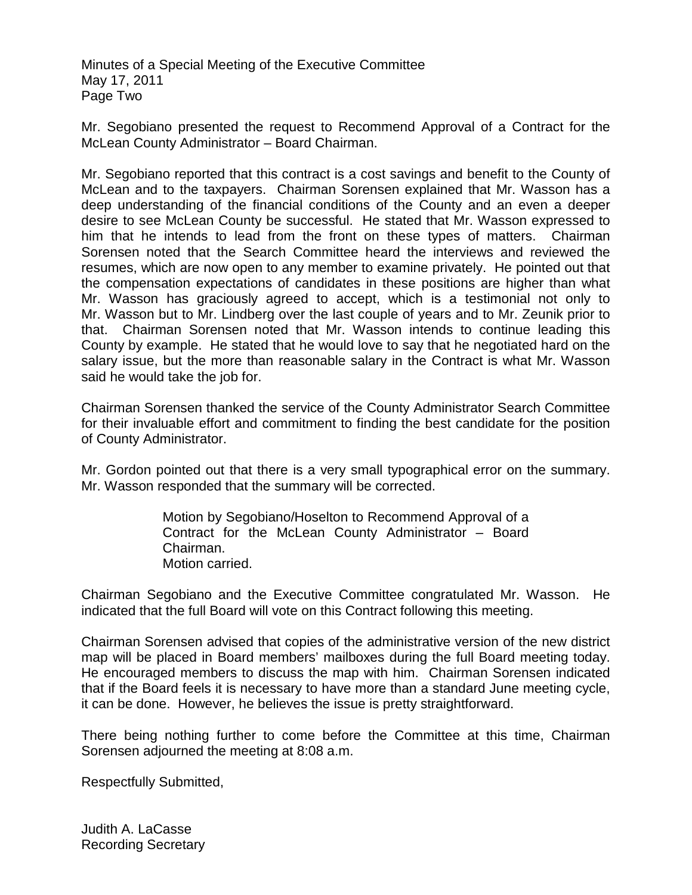Minutes of a Special Meeting of the Executive Committee May 17, 2011 Page Two

Mr. Segobiano presented the request to Recommend Approval of a Contract for the McLean County Administrator – Board Chairman.

Mr. Segobiano reported that this contract is a cost savings and benefit to the County of McLean and to the taxpayers. Chairman Sorensen explained that Mr. Wasson has a deep understanding of the financial conditions of the County and an even a deeper desire to see McLean County be successful. He stated that Mr. Wasson expressed to him that he intends to lead from the front on these types of matters. Chairman Sorensen noted that the Search Committee heard the interviews and reviewed the resumes, which are now open to any member to examine privately. He pointed out that the compensation expectations of candidates in these positions are higher than what Mr. Wasson has graciously agreed to accept, which is a testimonial not only to Mr. Wasson but to Mr. Lindberg over the last couple of years and to Mr. Zeunik prior to that. Chairman Sorensen noted that Mr. Wasson intends to continue leading this County by example. He stated that he would love to say that he negotiated hard on the salary issue, but the more than reasonable salary in the Contract is what Mr. Wasson said he would take the job for.

Chairman Sorensen thanked the service of the County Administrator Search Committee for their invaluable effort and commitment to finding the best candidate for the position of County Administrator.

Mr. Gordon pointed out that there is a very small typographical error on the summary. Mr. Wasson responded that the summary will be corrected.

> Motion by Segobiano/Hoselton to Recommend Approval of a Contract for the McLean County Administrator – Board Chairman. Motion carried.

Chairman Segobiano and the Executive Committee congratulated Mr. Wasson. He indicated that the full Board will vote on this Contract following this meeting.

Chairman Sorensen advised that copies of the administrative version of the new district map will be placed in Board members' mailboxes during the full Board meeting today. He encouraged members to discuss the map with him. Chairman Sorensen indicated that if the Board feels it is necessary to have more than a standard June meeting cycle, it can be done. However, he believes the issue is pretty straightforward.

There being nothing further to come before the Committee at this time, Chairman Sorensen adjourned the meeting at 8:08 a.m.

Respectfully Submitted,

Judith A. LaCasse Recording Secretary